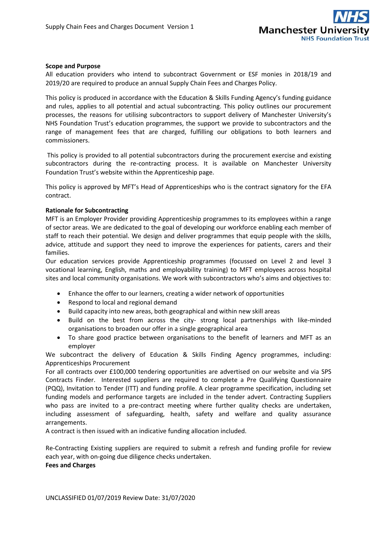

## **Scope and Purpose**

All education providers who intend to subcontract Government or ESF monies in 2018/19 and 2019/20 are required to produce an annual Supply Chain Fees and Charges Policy.

This policy is produced in accordance with the Education & Skills Funding Agency's funding guidance and rules, applies to all potential and actual subcontracting. This policy outlines our procurement processes, the reasons for utilising subcontractors to support delivery of Manchester University's NHS Foundation Trust's education programmes, the support we provide to subcontractors and the range of management fees that are charged, fulfilling our obligations to both learners and commissioners.

This policy is provided to all potential subcontractors during the procurement exercise and existing subcontractors during the re-contracting process. It is available on Manchester University Foundation Trust's website within the Apprenticeship page.

This policy is approved by MFT's Head of Apprenticeships who is the contract signatory for the EFA contract.

### **Rationale for Subcontracting**

MFT is an Employer Provider providing Apprenticeship programmes to its employees within a range of sector areas. We are dedicated to the goal of developing our workforce enabling each member of staff to reach their potential. We design and deliver programmes that equip people with the skills, advice, attitude and support they need to improve the experiences for patients, carers and their families.

Our education services provide Apprenticeship programmes (focussed on Level 2 and level 3 vocational learning, English, maths and employability training) to MFT employees across hospital sites and local community organisations. We work with subcontractors who's aims and objectives to:

- Enhance the offer to our learners, creating a wider network of opportunities
- Respond to local and regional demand
- Build capacity into new areas, both geographical and within new skill areas
- Build on the best from across the city- strong local partnerships with like-minded organisations to broaden our offer in a single geographical area
- To share good practice between organisations to the benefit of learners and MFT as an employer

We subcontract the delivery of Education & Skills Finding Agency programmes, including: Apprenticeships Procurement

For all contracts over £100,000 tendering opportunities are advertised on our website and via SPS Contracts Finder. Interested suppliers are required to complete a Pre Qualifying Questionnaire (PQQ), Invitation to Tender (ITT) and funding profile. A clear programme specification, including set funding models and performance targets are included in the tender advert. Contracting Suppliers who pass are invited to a pre-contract meeting where further quality checks are undertaken, including assessment of safeguarding, health, safety and welfare and quality assurance arrangements.

A contract is then issued with an indicative funding allocation included.

Re-Contracting Existing suppliers are required to submit a refresh and funding profile for review each year, with on-going due diligence checks undertaken.

**Fees and Charges**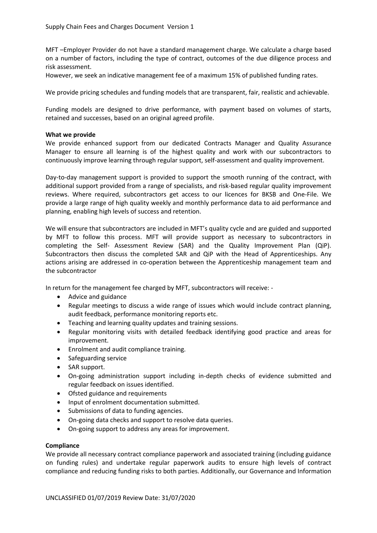MFT –Employer Provider do not have a standard management charge. We calculate a charge based on a number of factors, including the type of contract, outcomes of the due diligence process and risk assessment.

However, we seek an indicative management fee of a maximum 15% of published funding rates.

We provide pricing schedules and funding models that are transparent, fair, realistic and achievable.

Funding models are designed to drive performance, with payment based on volumes of starts, retained and successes, based on an original agreed profile.

## **What we provide**

We provide enhanced support from our dedicated Contracts Manager and Quality Assurance Manager to ensure all learning is of the highest quality and work with our subcontractors to continuously improve learning through regular support, self-assessment and quality improvement.

Day-to-day management support is provided to support the smooth running of the contract, with additional support provided from a range of specialists, and risk-based regular quality improvement reviews. Where required, subcontractors get access to our licences for BKSB and One-File. We provide a large range of high quality weekly and monthly performance data to aid performance and planning, enabling high levels of success and retention.

We will ensure that subcontractors are included in MFT's quality cycle and are guided and supported by MFT to follow this process. MFT will provide support as necessary to subcontractors in completing the Self- Assessment Review (SAR) and the Quality Improvement Plan (QiP). Subcontractors then discuss the completed SAR and QiP with the Head of Apprenticeships. Any actions arising are addressed in co-operation between the Apprenticeship management team and the subcontractor

In return for the management fee charged by MFT, subcontractors will receive: -

- Advice and guidance
- Regular meetings to discuss a wide range of issues which would include contract planning, audit feedback, performance monitoring reports etc.
- Teaching and learning quality updates and training sessions.
- Regular monitoring visits with detailed feedback identifying good practice and areas for improvement.
- Enrolment and audit compliance training.
- Safeguarding service
- SAR support.
- On-going administration support including in-depth checks of evidence submitted and regular feedback on issues identified.
- Ofsted guidance and requirements
- Input of enrolment documentation submitted.
- Submissions of data to funding agencies.
- On-going data checks and support to resolve data queries.
- On-going support to address any areas for improvement.

# **Compliance**

We provide all necessary contract compliance paperwork and associated training (including guidance on funding rules) and undertake regular paperwork audits to ensure high levels of contract compliance and reducing funding risks to both parties. Additionally, our Governance and Information